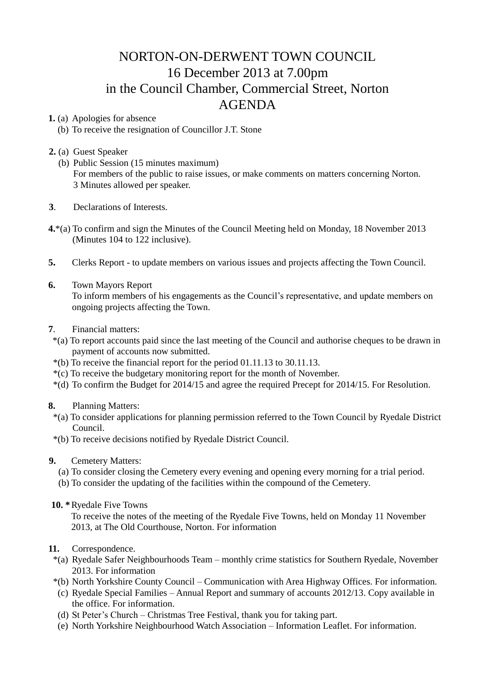## NORTON-ON-DERWENT TOWN COUNCIL 16 December 2013 at 7.00pm in the Council Chamber, Commercial Street, Norton AGENDA

**1.** (a) Apologies for absence

- (b) To receive the resignation of Councillor J.T. Stone
- **2.** (a) Guest Speaker
	- (b) Public Session (15 minutes maximum) For members of the public to raise issues, or make comments on matters concerning Norton. 3 Minutes allowed per speaker.
- **3**. Declarations of Interests.
- **4.**\*(a) To confirm and sign the Minutes of the Council Meeting held on Monday, 18 November 2013 (Minutes 104 to 122 inclusive).
- **5.** Clerks Report to update members on various issues and projects affecting the Town Council.
- **6.** Town Mayors Report

 To inform members of his engagements as the Council's representative, and update members on ongoing projects affecting the Town.

- **7**. Financial matters:
	- \*(a) To report accounts paid since the last meeting of the Council and authorise cheques to be drawn in payment of accounts now submitted.
	- \*(b) To receive the financial report for the period 01.11.13 to 30.11.13.
	- \*(c) To receive the budgetary monitoring report for the month of November.
	- \*(d) To confirm the Budget for 2014/15 and agree the required Precept for 2014/15. For Resolution.

## **8.** Planning Matters:

- \*(a) To consider applications for planning permission referred to the Town Council by Ryedale District Council.
- \*(b) To receive decisions notified by Ryedale District Council.
- **9.** Cemetery Matters:
	- (a) To consider closing the Cemetery every evening and opening every morning for a trial period.
	- (b) To consider the updating of the facilities within the compound of the Cemetery.
- **10. \***Ryedale Five Towns

To receive the notes of the meeting of the Ryedale Five Towns, held on Monday 11 November 2013, at The Old Courthouse, Norton. For information

- **11.** Correspondence.
	- \*(a) Ryedale Safer Neighbourhoods Team monthly crime statistics for Southern Ryedale, November 2013. For information
	- \*(b) North Yorkshire County Council Communication with Area Highway Offices. For information.
	- (c) Ryedale Special Families Annual Report and summary of accounts 2012/13. Copy available in the office. For information.
	- (d) St Peter's Church Christmas Tree Festival, thank you for taking part.
	- (e) North Yorkshire Neighbourhood Watch Association Information Leaflet. For information.